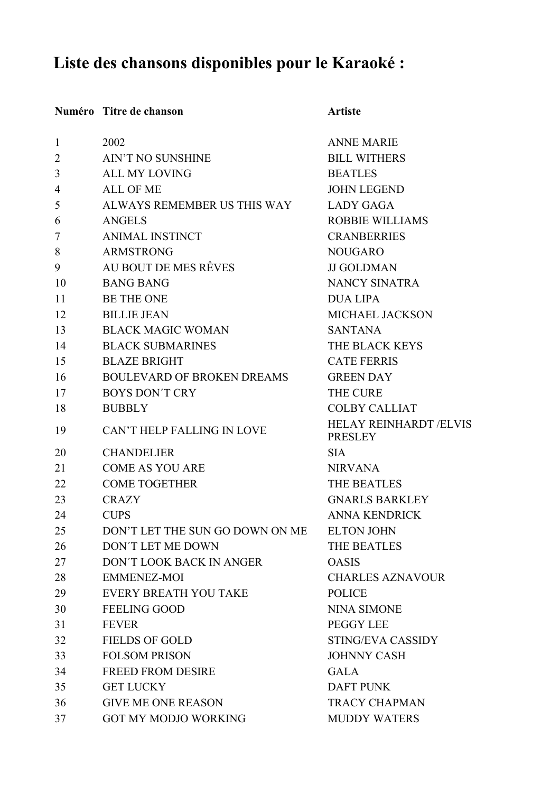## **Liste des chansons disponibles pour le Karaoké :**

## **Numéro Titre de chanson Artiste**

| $\mathbf{1}$ | 2002                              | <b>ANNE MARIE</b>                               |
|--------------|-----------------------------------|-------------------------------------------------|
| 2            | <b>AIN'T NO SUNSHINE</b>          | <b>BILL WITHERS</b>                             |
| 3            | <b>ALL MY LOVING</b>              | <b>BEATLES</b>                                  |
| 4            | <b>ALL OF ME</b>                  | <b>JOHN LEGEND</b>                              |
| 5            | ALWAYS REMEMBER US THIS WAY       | <b>LADY GAGA</b>                                |
| 6            | <b>ANGELS</b>                     | <b>ROBBIE WILLIAMS</b>                          |
| 7            | <b>ANIMAL INSTINCT</b>            | <b>CRANBERRIES</b>                              |
| 8            | <b>ARMSTRONG</b>                  | <b>NOUGARO</b>                                  |
| 9            | AU BOUT DE MES RÊVES              | <b>JJ GOLDMAN</b>                               |
| 10           | <b>BANG BANG</b>                  | <b>NANCY SINATRA</b>                            |
| 11           | <b>BE THE ONE</b>                 | <b>DUA LIPA</b>                                 |
| 12           | <b>BILLIE JEAN</b>                | MICHAEL JACKSON                                 |
| 13           | <b>BLACK MAGIC WOMAN</b>          | <b>SANTANA</b>                                  |
| 14           | <b>BLACK SUBMARINES</b>           | THE BLACK KEYS                                  |
| 15           | <b>BLAZE BRIGHT</b>               | <b>CATE FERRIS</b>                              |
| 16           | <b>BOULEVARD OF BROKEN DREAMS</b> | <b>GREEN DAY</b>                                |
| 17           | <b>BOYS DON'T CRY</b>             | <b>THE CURE</b>                                 |
| 18           | <b>BUBBLY</b>                     | <b>COLBY CALLIAT</b>                            |
| 19           | CAN'T HELP FALLING IN LOVE        | <b>HELAY REINHARDT /ELVIS</b><br><b>PRESLEY</b> |
| 20           | <b>CHANDELIER</b>                 | <b>SIA</b>                                      |
| 21           | <b>COME AS YOU ARE</b>            | <b>NIRVANA</b>                                  |
| 22           | <b>COME TOGETHER</b>              | THE BEATLES                                     |
| 23           | <b>CRAZY</b>                      | <b>GNARLS BARKLEY</b>                           |
| 24           | <b>CUPS</b>                       | <b>ANNA KENDRICK</b>                            |
| 25           | DON'T LET THE SUN GO DOWN ON ME   | <b>ELTON JOHN</b>                               |
| 26           | <b>DON'T LET ME DOWN</b>          | <b>THE BEATLES</b>                              |
| 27           | DON'T LOOK BACK IN ANGER          | <b>OASIS</b>                                    |
| 28           | <b>EMMENEZ-MOI</b>                | <b>CHARLES AZNAVOUR</b>                         |
| 29           | EVERY BREATH YOU TAKE             | <b>POLICE</b>                                   |
| 30           | <b>FEELING GOOD</b>               | <b>NINA SIMONE</b>                              |
| 31           | <b>FEVER</b>                      | PEGGY LEE                                       |
| 32           | <b>FIELDS OF GOLD</b>             | STING/EVA CASSIDY                               |
| 33           | <b>FOLSOM PRISON</b>              | <b>JOHNNY CASH</b>                              |
| 34           | <b>FREED FROM DESIRE</b>          | <b>GALA</b>                                     |
| 35           | <b>GET LUCKY</b>                  | <b>DAFT PUNK</b>                                |
| 36           | <b>GIVE ME ONE REASON</b>         | <b>TRACY CHAPMAN</b>                            |
| 37           | <b>GOT MY MODJO WORKING</b>       | <b>MUDDY WATERS</b>                             |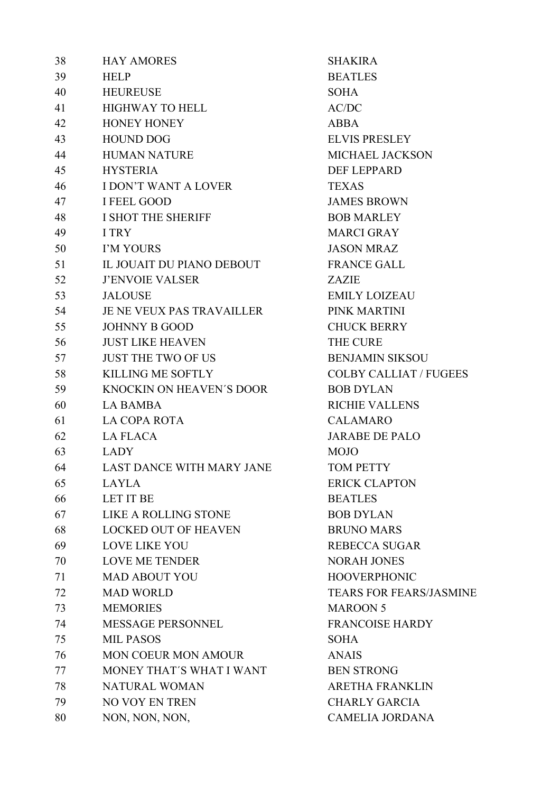| 38 | <b>HAY AMORES</b>                | <b>SHAKI</b>  |
|----|----------------------------------|---------------|
| 39 | <b>HELP</b>                      | <b>BEATL</b>  |
| 40 | <b>HEUREUSE</b>                  | SOHA          |
| 41 | <b>HIGHWAY TO HELL</b>           | AC/DC         |
| 42 | <b>HONEY HONEY</b>               | <b>ABBA</b>   |
| 43 | <b>HOUND DOG</b>                 | <b>ELVIS</b>  |
| 44 | <b>HUMAN NATURE</b>              | <b>MICHA</b>  |
| 45 | <b>HYSTERIA</b>                  | <b>DEF LI</b> |
| 46 | <b>I DON'T WANT A LOVER</b>      | <b>TEXAS</b>  |
| 47 | <b>I FEEL GOOD</b>               | <b>JAMES</b>  |
| 48 | I SHOT THE SHERIFF               | <b>BOB</b> M  |
| 49 | I TRY                            | <b>MARC</b>   |
| 50 | I'M YOURS                        | <b>JASON</b>  |
| 51 | IL JOUAIT DU PIANO DEBOUT        | <b>FRANO</b>  |
| 52 | <b>J'ENVOIE VALSER</b>           | <b>ZAZIE</b>  |
| 53 | <b>JALOUSE</b>                   | <b>EMILY</b>  |
| 54 | JE NE VEUX PAS TRAVAILLER        | PINK N        |
| 55 | <b>JOHNNY B GOOD</b>             | <b>CHUCI</b>  |
| 56 | <b>JUST LIKE HEAVEN</b>          | THE CI        |
| 57 | <b>JUST THE TWO OF US</b>        | <b>BENJA</b>  |
| 58 | <b>KILLING ME SOFTLY</b>         | <b>COLBY</b>  |
| 59 | <b>KNOCKIN ON HEAVEN'S DOOR</b>  | <b>BOBD</b>   |
| 60 | <b>LA BAMBA</b>                  | <b>RICHIE</b> |
| 61 | <b>LA COPA ROTA</b>              | <b>CALAN</b>  |
| 62 | <b>LA FLACA</b>                  | <b>JARAB</b>  |
| 63 | <b>LADY</b>                      | <b>MOJO</b>   |
| 64 | <b>LAST DANCE WITH MARY JANE</b> | <b>TOMP</b>   |
| 65 | <b>LAYLA</b>                     | <b>ERICK</b>  |
| 66 | <b>LET IT BE</b>                 | <b>BEATL</b>  |
| 67 | LIKE A ROLLING STONE             | <b>BOBD</b>   |
| 68 | <b>LOCKED OUT OF HEAVEN</b>      | <b>BRUN</b>   |
| 69 | <b>LOVE LIKE YOU</b>             | <b>REBEC</b>  |
| 70 | <b>LOVE ME TENDER</b>            | <b>NORAI</b>  |
| 71 | <b>MAD ABOUT YOU</b>             | <b>HOOV</b>   |
| 72 | <b>MAD WORLD</b>                 | <b>TEARS</b>  |
| 73 | <b>MEMORIES</b>                  | <b>MARO</b>   |
| 74 | MESSAGE PERSONNEL                | <b>FRANC</b>  |
| 75 | <b>MIL PASOS</b>                 | SOHA          |
| 76 | <b>MON COEUR MON AMOUR</b>       | <b>ANAIS</b>  |
| 77 | MONEY THAT'S WHAT I WANT         | <b>BEN ST</b> |
| 78 | <b>NATURAL WOMAN</b>             | <b>ARETH</b>  |
| 79 | NO VOY EN TREN                   | <b>CHARI</b>  |
| 80 | NON, NON, NON,                   | <b>CAME</b>   |

**SHAKIRA BEATLES** AC/DC **ELVIS PRESLEY** MICHAEL JACKSON DEF LEPPARD TEXAS JAMES BROWN **BOB MARLEY** MARCI GRAY JASON MRAZ FRANCE GALL EMILY LOIZEAU PINK MARTINI **CHUCK BERRY** THE CURE **BENJAMIN SIKSOU** COLBY CALLIAT / FUGEES **BOB DYLAN** RICHIE VALLENS CALAMARO JARABE DE PALO TOM PETTY **ERICK CLAPTON BEATLES BOB DYLAN** BRUNO MARS REBECCA SUGAR NORAH JONES HOOVERPHONIC TEARS FOR FEARS/JASMINE **MAROON 5** FRANCOISE HARDY **BEN STRONG** ARETHA FRANKLIN **CHARLY GARCIA** CAMELIA JORDANA